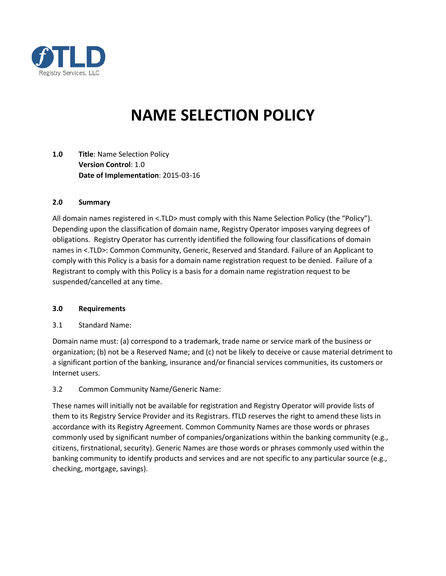

# **NAME SELECTION POLICY**

**1.0 Title**: Name Selection Policy **Version Control**: 1.0 **Date of Implementation**: 2015-03-16

### **2.0 Summary**

All domain names registered in <.TLD> must comply with this Name Selection Policy (the "Policy"). Depending upon the classification of domain name, Registry Operator imposes varying degrees of obligations. Registry Operator has currently identified the following four classifications of domain names in <.TLD>: Common Community, Generic, Reserved and Standard. Failure of an Applicant to comply with this Policy is a basis for a domain name registration request to be denied. Failure of a Registrant to comply with this Policy is a basis for a domain name registration request to be suspended/cancelled at any time.

#### **3.0 Requirements**

3.1 Standard Name:

Domain name must: (a) correspond to a trademark, trade name or service mark of the business or organization; (b) not be a Reserved Name; and (c) not be likely to deceive or cause material detriment to a significant portion of the banking, insurance and/or financial services communities, its customers or Internet users.

### 3.2 Common Community Name/Generic Name:

These names will initially not be available for registration and Registry Operator will provide lists of them to its Registry Service Provider and its Registrars. fTLD reserves the right to amend these lists in accordance with its Registry Agreement. Common Community Names are those words or phrases commonly used by significant number of companies/organizations within the banking community (e.g., citizens, firstnational, security). Generic Names are those words or phrases commonly used within the banking community to identify products and services and are not specific to any particular source (e.g., checking, mortgage, savings).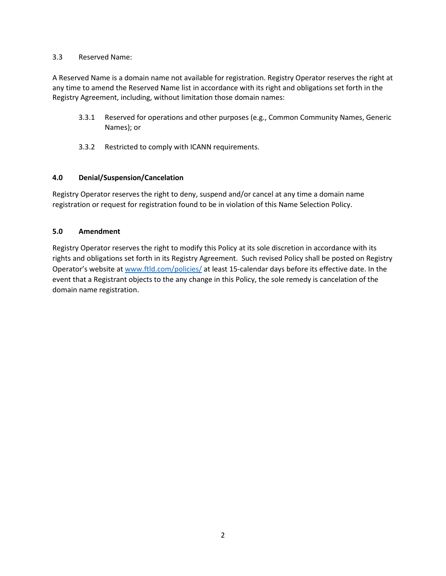### 3.3 Reserved Name:

A Reserved Name is a domain name not available for registration. Registry Operator reserves the right at any time to amend the Reserved Name list in accordance with its right and obligations set forth in the Registry Agreement, including, without limitation those domain names:

- 3.3.1 Reserved for operations and other purposes (e.g., Common Community Names, Generic Names); or
- 3.3.2 Restricted to comply with ICANN requirements.

## **4.0 Denial/Suspension/Cancelation**

Registry Operator reserves the right to deny, suspend and/or cancel at any time a domain name registration or request for registration found to be in violation of this Name Selection Policy.

## **5.0 Amendment**

Registry Operator reserves the right to modify this Policy at its sole discretion in accordance with its rights and obligations set forth in its Registry Agreement. Such revised Policy shall be posted on Registry Operator's website a[t www.ftld.com/policies/](https://www.ftld.com/policies/) at least 15-calendar days before its effective date. In the event that a Registrant objects to the any change in this Policy, the sole remedy is cancelation of the domain name registration.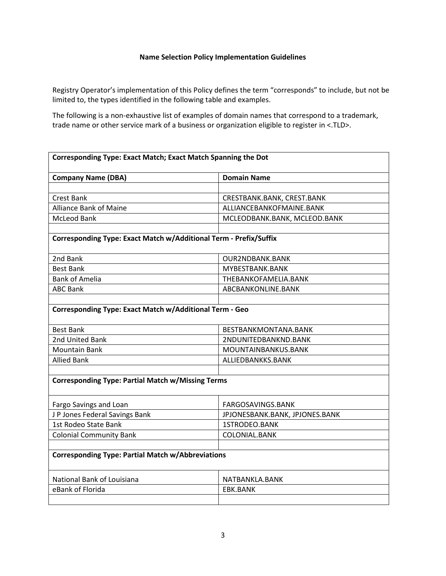#### **Name Selection Policy Implementation Guidelines**

Registry Operator's implementation of this Policy defines the term "corresponds" to include, but not be limited to, the types identified in the following table and examples.

The following is a non-exhaustive list of examples of domain names that correspond to a trademark, trade name or other service mark of a business or organization eligible to register in <.TLD>.

| Corresponding Type: Exact Match; Exact Match Spanning the Dot     |                                |  |
|-------------------------------------------------------------------|--------------------------------|--|
| <b>Company Name (DBA)</b>                                         | <b>Domain Name</b>             |  |
|                                                                   |                                |  |
| <b>Crest Bank</b>                                                 | CRESTBANK.BANK, CREST.BANK     |  |
| <b>Alliance Bank of Maine</b>                                     | ALLIANCEBANKOFMAINE.BANK       |  |
| <b>McLeod Bank</b>                                                | MCLEODBANK.BANK, MCLEOD.BANK   |  |
|                                                                   |                                |  |
| Corresponding Type: Exact Match w/Additional Term - Prefix/Suffix |                                |  |
|                                                                   |                                |  |
| 2nd Bank                                                          | <b>OUR2NDBANK.BANK</b>         |  |
| <b>Best Bank</b>                                                  | MYBESTBANK.BANK                |  |
| <b>Bank of Amelia</b>                                             | THEBANKOFAMELIA.BANK           |  |
| <b>ABC Bank</b>                                                   | ABCBANKONLINE.BANK             |  |
|                                                                   |                                |  |
| <b>Corresponding Type: Exact Match w/Additional Term - Geo</b>    |                                |  |
| <b>Best Bank</b>                                                  | BESTBANKMONTANA.BANK           |  |
| 2nd United Bank                                                   | 2NDUNITEDBANKND.BANK           |  |
| <b>Mountain Bank</b>                                              | MOUNTAINBANKUS.BANK            |  |
| <b>Allied Bank</b>                                                | ALLIEDBANKKS.BANK              |  |
|                                                                   |                                |  |
| <b>Corresponding Type: Partial Match w/Missing Terms</b>          |                                |  |
| Fargo Savings and Loan                                            | FARGOSAVINGS.BANK              |  |
| J P Jones Federal Savings Bank                                    | JPJONESBANK.BANK, JPJONES.BANK |  |
| 1st Rodeo State Bank                                              | 1STRODEO.BANK                  |  |
| <b>Colonial Community Bank</b>                                    | COLONIAL.BANK                  |  |
|                                                                   |                                |  |
| <b>Corresponding Type: Partial Match w/Abbreviations</b>          |                                |  |
| National Bank of Louisiana                                        | NATBANKLA.BANK                 |  |
| eBank of Florida                                                  | EBK.BANK                       |  |
|                                                                   |                                |  |